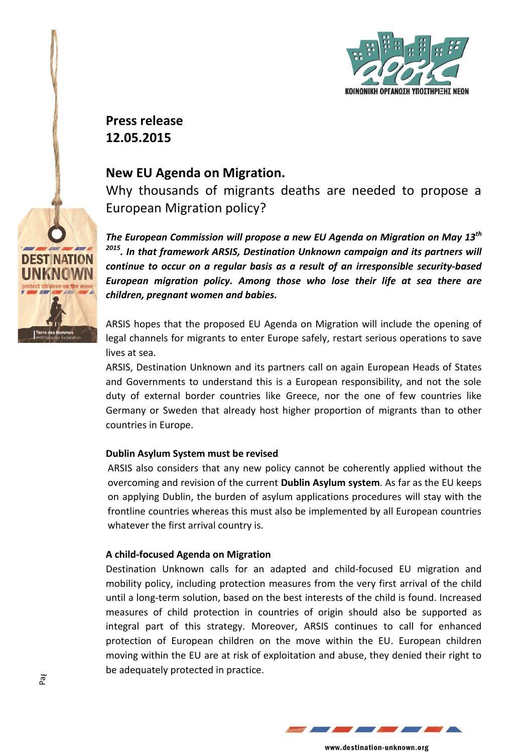

**Press release 12.05.2015**

# **New EU Agenda on Migration.**

Why thousands of migrants deaths are needed to propose a European Migration policy?

*The European Commission will propose a new EU Agenda on Migration on May 13th 2015 . In that framework ARSIS, Destination Unknown campaign and its partners will continue to occur on a regular basis as a result of an irresponsible security-based European migration policy. Among those who lose their life at sea there are children, pregnant women and babies.* 

ARSIS hopes that the proposed EU Agenda on Migration will include the opening of legal channels for migrants to enter Europe safely, restart serious operations to save lives at sea.

ARSIS, Destination Unknown and its partners call on again European Heads of States and Governments to understand this is a European responsibility, and not the sole duty of external border countries like Greece, nor the one of few countries like Germany or Sweden that already host higher proportion of migrants than to other countries in Europe.

## **Dublin Asylum System must be revised**

ARSIS also considers that any new policy cannot be coherently applied without the overcoming and revision of the current **Dublin Asylum system**. As far as the EU keeps on applying Dublin, the burden of asylum applications procedures will stay with the frontline countries whereas this must also be implemented by all European countries whatever the first arrival country is.

#### **A child-focused Agenda on Migration**

Destination Unknown calls for an adapted and child-focused EU migration and mobility policy, including protection measures from the very first arrival of the child until a long-term solution, based on the best interests of the child is found. Increased measures of child protection in countries of origin should also be supported as integral part of this strategy. Moreover, ARSIS continues to call for enhanced protection of European children on the move within the EU. European children moving within the EU are at risk of exploitation and abuse, they denied their right to be adequately protected in practice.



www.destination-unknown.org